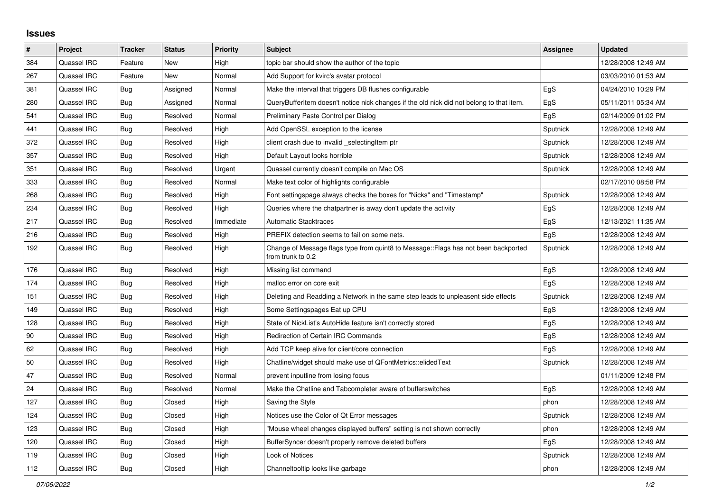## **Issues**

| $\vert$ # | Project     | <b>Tracker</b> | <b>Status</b> | <b>Priority</b> | <b>Subject</b>                                                                                          | <b>Assignee</b> | <b>Updated</b>      |
|-----------|-------------|----------------|---------------|-----------------|---------------------------------------------------------------------------------------------------------|-----------------|---------------------|
| 384       | Quassel IRC | Feature        | <b>New</b>    | High            | topic bar should show the author of the topic                                                           |                 | 12/28/2008 12:49 AM |
| 267       | Quassel IRC | Feature        | <b>New</b>    | Normal          | Add Support for kvirc's avatar protocol                                                                 |                 | 03/03/2010 01:53 AM |
| 381       | Quassel IRC | Bug            | Assigned      | Normal          | Make the interval that triggers DB flushes configurable                                                 | EgS             | 04/24/2010 10:29 PM |
| 280       | Quassel IRC | Bug            | Assigned      | Normal          | QueryBufferItem doesn't notice nick changes if the old nick did not belong to that item.                | EgS             | 05/11/2011 05:34 AM |
| 541       | Quassel IRC | Bug            | Resolved      | Normal          | Preliminary Paste Control per Dialog                                                                    | EgS             | 02/14/2009 01:02 PM |
| 441       | Quassel IRC | <b>Bug</b>     | Resolved      | High            | Add OpenSSL exception to the license                                                                    | Sputnick        | 12/28/2008 12:49 AM |
| 372       | Quassel IRC | <b>Bug</b>     | Resolved      | High            | client crash due to invalid _selectingItem ptr                                                          | Sputnick        | 12/28/2008 12:49 AM |
| 357       | Quassel IRC | Bug            | Resolved      | High            | Default Layout looks horrible                                                                           | Sputnick        | 12/28/2008 12:49 AM |
| 351       | Quassel IRC | Bug            | Resolved      | Urgent          | Quassel currently doesn't compile on Mac OS                                                             | Sputnick        | 12/28/2008 12:49 AM |
| 333       | Quassel IRC | Bug            | Resolved      | Normal          | Make text color of highlights configurable                                                              |                 | 02/17/2010 08:58 PM |
| 268       | Quassel IRC | Bug            | Resolved      | High            | Font settingspage always checks the boxes for "Nicks" and "Timestamp"                                   | Sputnick        | 12/28/2008 12:49 AM |
| 234       | Quassel IRC | Bug            | Resolved      | High            | Queries where the chatpartner is away don't update the activity                                         | EgS             | 12/28/2008 12:49 AM |
| 217       | Quassel IRC | <b>Bug</b>     | Resolved      | Immediate       | <b>Automatic Stacktraces</b>                                                                            | EgS             | 12/13/2021 11:35 AM |
| 216       | Quassel IRC | Bug            | Resolved      | High            | PREFIX detection seems to fail on some nets.                                                            | EgS             | 12/28/2008 12:49 AM |
| 192       | Quassel IRC | Bug            | Resolved      | High            | Change of Message flags type from quint8 to Message::Flags has not been backported<br>from trunk to 0.2 | Sputnick        | 12/28/2008 12:49 AM |
| 176       | Quassel IRC | Bug            | Resolved      | High            | Missing list command                                                                                    | EgS             | 12/28/2008 12:49 AM |
| 174       | Quassel IRC | Bug            | Resolved      | High            | malloc error on core exit                                                                               | EgS             | 12/28/2008 12:49 AM |
| 151       | Quassel IRC | <b>Bug</b>     | Resolved      | High            | Deleting and Readding a Network in the same step leads to unpleasent side effects                       | Sputnick        | 12/28/2008 12:49 AM |
| 149       | Quassel IRC | <b>Bug</b>     | Resolved      | High            | Some Settingspages Eat up CPU                                                                           | EgS             | 12/28/2008 12:49 AM |
| 128       | Quassel IRC | <b>Bug</b>     | Resolved      | High            | State of NickList's AutoHide feature isn't correctly stored                                             | EgS             | 12/28/2008 12:49 AM |
| 90        | Quassel IRC | Bug            | Resolved      | High            | Redirection of Certain IRC Commands                                                                     | EgS             | 12/28/2008 12:49 AM |
| 62        | Quassel IRC | Bug            | Resolved      | High            | Add TCP keep alive for client/core connection                                                           | EgS             | 12/28/2008 12:49 AM |
| 50        | Quassel IRC | Bug            | Resolved      | High            | Chatline/widget should make use of QFontMetrics::elidedText                                             | Sputnick        | 12/28/2008 12:49 AM |
| 47        | Quassel IRC | Bug            | Resolved      | Normal          | prevent inputline from losing focus                                                                     |                 | 01/11/2009 12:48 PM |
| 24        | Quassel IRC | Bug            | Resolved      | Normal          | Make the Chatline and Tabcompleter aware of bufferswitches                                              | EgS             | 12/28/2008 12:49 AM |
| 127       | Quassel IRC | <b>Bug</b>     | Closed        | High            | Saving the Style                                                                                        | phon            | 12/28/2008 12:49 AM |
| 124       | Quassel IRC | Bug            | Closed        | High            | Notices use the Color of Qt Error messages                                                              | Sputnick        | 12/28/2008 12:49 AM |
| 123       | Quassel IRC | Bug            | Closed        | High            | "Mouse wheel changes displayed buffers" setting is not shown correctly                                  | phon            | 12/28/2008 12:49 AM |
| 120       | Quassel IRC | Bug            | Closed        | High            | BufferSyncer doesn't properly remove deleted buffers                                                    | EgS             | 12/28/2008 12:49 AM |
| 119       | Quassel IRC | Bug            | Closed        | High            | Look of Notices                                                                                         | Sputnick        | 12/28/2008 12:49 AM |
| 112       | Quassel IRC | Bug            | Closed        | High            | Channeltooltip looks like garbage                                                                       | phon            | 12/28/2008 12:49 AM |